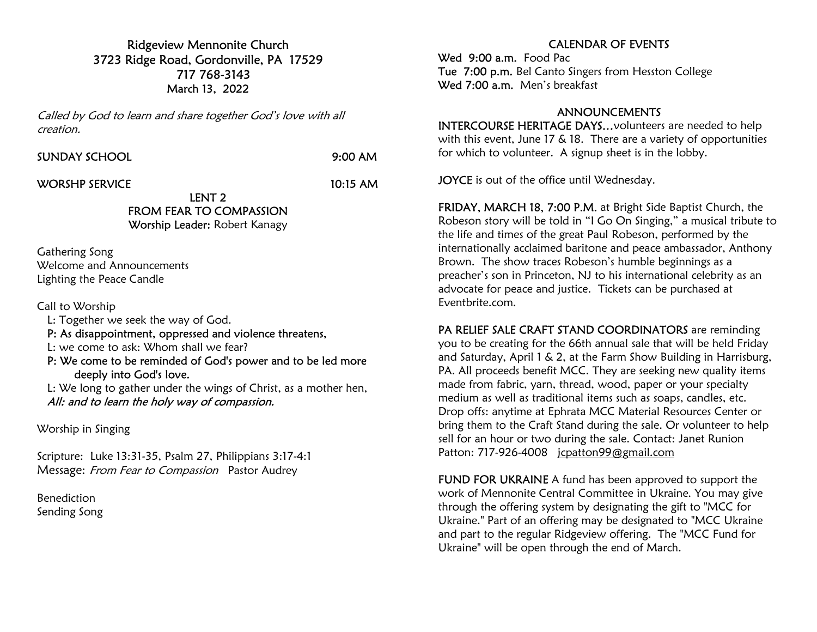Ridgeview Mennonite Church 3723 Ridge Road, Gordonville, PA 17529 717 768-3143 March 13, 2022

Called by God to learn and share together God's love with all creation.

SUNDAY SCHOOL 9:00 AM

WORSHP SERVICE 10:15 AM

### LENT 2 FROM FEAR TO COMPASSION

Worship Leader: Robert Kanagy

Gathering Song Welcome and Announcements Lighting the Peace Candle

Call to Worship

- L: Together we seek the way of God.
- P: As disappointment, oppressed and violence threatens,
- L: we come to ask: Whom shall we fear?
- P: We come to be reminded of God's power and to be led more deeply into God's love.

 L: We long to gather under the wings of Christ, as a mother hen, All: and to learn the holy way of compassion.

Worship in Singing

Scripture: Luke 13:31-35, Psalm 27, Philippians 3:17-4:1 Message: From Fear to Compassion Pastor Audrey

Benediction Sending Song

## CALENDAR OF EVENTS

Wed 9:00 a.m. Food Pac Tue 7:00 p.m. Bel Canto Singers from Hesston College Wed 7:00 a.m. Men's breakfast

#### ANNOUNCEMENTS

INTERCOURSE HERITAGE DAYS…volunteers are needed to help with this event, June 17 & 18. There are a variety of opportunities for which to volunteer. A signup sheet is in the lobby.

**JOYCE** is out of the office until Wednesday.

FRIDAY, MARCH 18, 7:00 P.M. at Bright Side Baptist Church, the Robeson story will be told in "I Go On Singing," a musical tribute to the life and times of the great Paul Robeson, performed by the internationally acclaimed baritone and peace ambassador, Anthony Brown. The show traces Robeson's humble beginnings as a preacher's son in Princeton, NJ to his international celebrity as an advocate for peace and justice. Tickets can be purchased at Eventbrite.com.

PA RELIEF SALE CRAFT STAND COORDINATORS are reminding you to be creating for the 66th annual sale that will be held Friday and Saturday, April 1 & 2, at the Farm Show Building in Harrisburg, PA. All proceeds benefit MCC. They are seeking new quality items made from fabric, yarn, thread, wood, paper or your specialty medium as well as traditional items such as soaps, candles, etc. Drop offs: anytime at Ephrata MCC Material Resources Center or bring them to the Craft Stand during the sale. Or volunteer to help sell for an hour or two during the sale. Contact: Janet Runion Patton: 717-926-4008 jcpatton99@gmail.com

FUND FOR UKRAINE A fund has been approved to support the work of Mennonite Central Committee in Ukraine. You may give through the offering system by designating the gift to "MCC for Ukraine." Part of an offering may be designated to "MCC Ukraine and part to the regular Ridgeview offering. The "MCC Fund for Ukraine" will be open through the end of March.